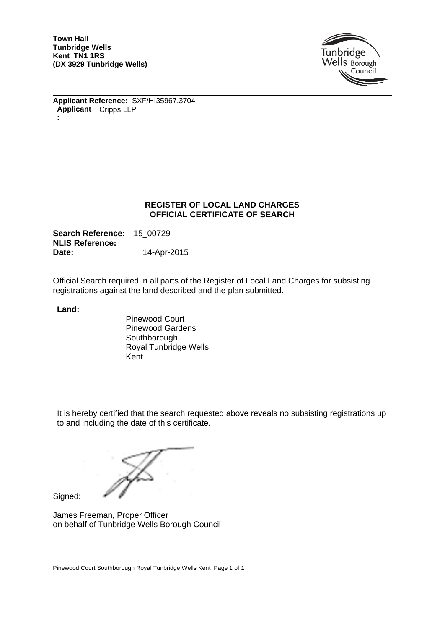**Town Hall Tunbridge Wells Kent TN1 1RS (DX 3929 Tunbridge Wells)**



**Applicant Reference:** SXF/HI35967.3704 **Applicant** Cripps LLP **:**

#### **REGISTER OF LOCAL LAND CHARGES OFFICIAL CERTIFICATE OF SEARCH**

**Search Reference:** 15\_00729 **NLIS Reference: Date:** 14-Apr-2015

Official Search required in all parts of the Register of Local Land Charges for subsisting registrations against the land described and the plan submitted.

**Land:**

Pinewood Court Pinewood Gardens **Southborough** Royal Tunbridge Wells Kent

It is hereby certified that the search requested above reveals no subsisting registrations up to and including the date of this certificate.

Signed:

James Freeman, Proper Officer on behalf of Tunbridge Wells Borough Council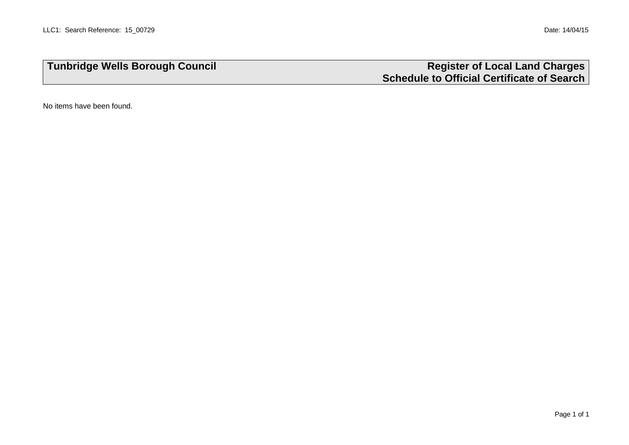# **Tunbridge Wells Borough Council Register of Local Land Charges Schedule to Official Certificate of Search**

No items have been found.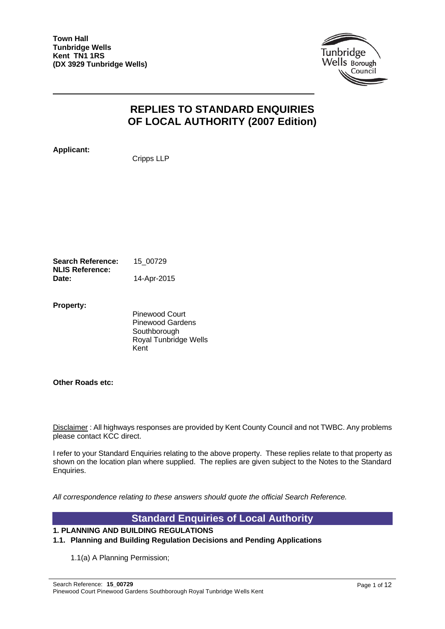

# **REPLIES TO STANDARD ENQUIRIES OF LOCAL AUTHORITY (2007 Edition)**

**Applicant:**

Cripps LLP

**Search Reference:** 15\_00729 **NLIS Reference: Date:** 14-Apr-2015

**Property:**

Pinewood Court Pinewood Gardens **Southborough** Royal Tunbridge Wells Kent

**Other Roads etc:**

Disclaimer : All highways responses are provided by Kent County Council and not TWBC. Any problems please contact KCC direct.

I refer to your Standard Enquiries relating to the above property. These replies relate to that property as shown on the location plan where supplied. The replies are given subject to the Notes to the Standard Enquiries.

*All correspondence relating to these answers should quote the official Search Reference.*

## **Standard Enquiries of Local Authority**

#### **1. PLANNING AND BUILDING REGULATIONS**

#### **1.1. Planning and Building Regulation Decisions and Pending Applications**

1.1(a) A Planning Permission;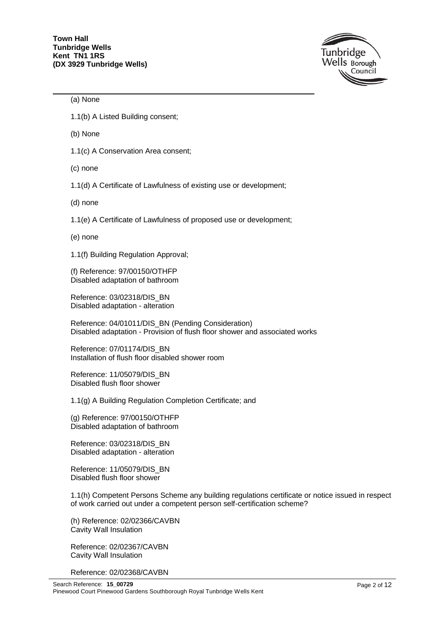

#### (a) None

1.1(b) A Listed Building consent;

(b) None

1.1(c) A Conservation Area consent;

(c) none

1.1(d) A Certificate of Lawfulness of existing use or development;

(d) none

1.1(e) A Certificate of Lawfulness of proposed use or development;

(e) none

1.1(f) Building Regulation Approval;

(f) Reference: 97/00150/OTHFP Disabled adaptation of bathroom

Reference: 03/02318/DIS\_BN Disabled adaptation - alteration

Reference: 04/01011/DIS\_BN (Pending Consideration) Disabled adaptation - Provision of flush floor shower and associated works

Reference: 07/01174/DIS\_BN Installation of flush floor disabled shower room

Reference: 11/05079/DIS\_BN Disabled flush floor shower

1.1(g) A Building Regulation Completion Certificate; and

(g) Reference: 97/00150/OTHFP Disabled adaptation of bathroom

Reference: 03/02318/DIS\_BN Disabled adaptation - alteration

Reference: 11/05079/DIS\_BN Disabled flush floor shower

1.1(h) Competent Persons Scheme any building regulations certificate or notice issued in respect of work carried out under a competent person self-certification scheme?

(h) Reference: 02/02366/CAVBN Cavity Wall Insulation

Reference: 02/02367/CAVBN Cavity Wall Insulation

Reference: 02/02368/CAVBN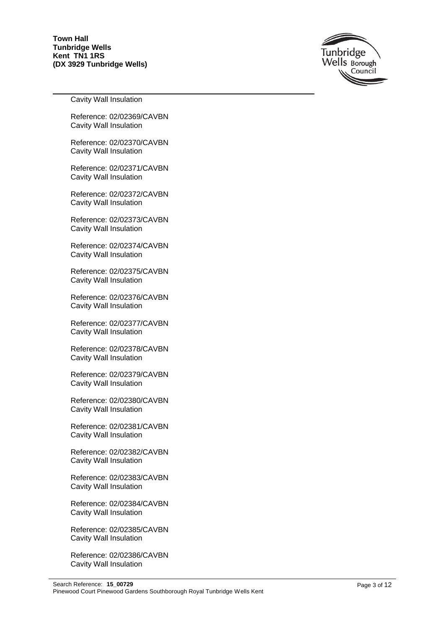

Cavity Wall Insulation

Reference: 02/02369/CAVBN Cavity Wall Insulation

Reference: 02/02370/CAVBN Cavity Wall Insulation

Reference: 02/02371/CAVBN Cavity Wall Insulation

Reference: 02/02372/CAVBN Cavity Wall Insulation

Reference: 02/02373/CAVBN Cavity Wall Insulation

Reference: 02/02374/CAVBN Cavity Wall Insulation

Reference: 02/02375/CAVBN Cavity Wall Insulation

Reference: 02/02376/CAVBN Cavity Wall Insulation

Reference: 02/02377/CAVBN Cavity Wall Insulation

Reference: 02/02378/CAVBN Cavity Wall Insulation

Reference: 02/02379/CAVBN Cavity Wall Insulation

Reference: 02/02380/CAVBN Cavity Wall Insulation

Reference: 02/02381/CAVBN Cavity Wall Insulation

Reference: 02/02382/CAVBN Cavity Wall Insulation

Reference: 02/02383/CAVBN Cavity Wall Insulation

Reference: 02/02384/CAVBN Cavity Wall Insulation

Reference: 02/02385/CAVBN Cavity Wall Insulation

Reference: 02/02386/CAVBN Cavity Wall Insulation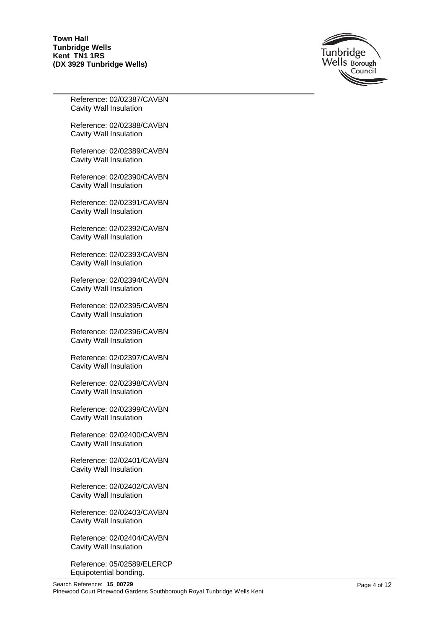

Reference: 02/02387/CAVBN Cavity Wall Insulation

Reference: 02/02388/CAVBN Cavity Wall Insulation

Reference: 02/02389/CAVBN Cavity Wall Insulation

Reference: 02/02390/CAVBN Cavity Wall Insulation

Reference: 02/02391/CAVBN Cavity Wall Insulation

Reference: 02/02392/CAVBN Cavity Wall Insulation

Reference: 02/02393/CAVBN Cavity Wall Insulation

Reference: 02/02394/CAVBN Cavity Wall Insulation

Reference: 02/02395/CAVBN Cavity Wall Insulation

Reference: 02/02396/CAVBN Cavity Wall Insulation

Reference: 02/02397/CAVBN Cavity Wall Insulation

Reference: 02/02398/CAVBN Cavity Wall Insulation

Reference: 02/02399/CAVBN Cavity Wall Insulation

Reference: 02/02400/CAVBN Cavity Wall Insulation

Reference: 02/02401/CAVBN Cavity Wall Insulation

Reference: 02/02402/CAVBN Cavity Wall Insulation

Reference: 02/02403/CAVBN Cavity Wall Insulation

Reference: 02/02404/CAVBN Cavity Wall Insulation

Reference: 05/02589/ELERCP Equipotential bonding.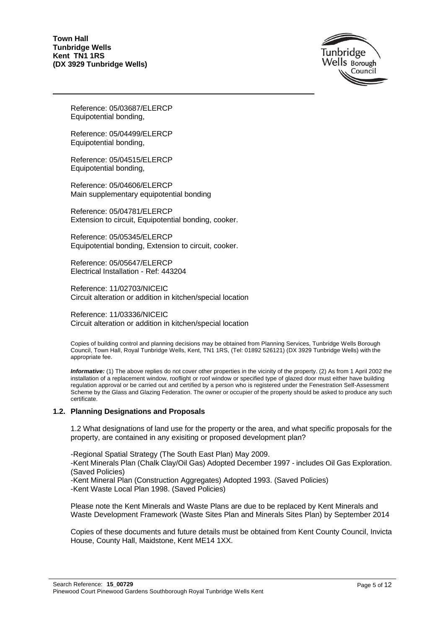

Reference: 05/03687/ELERCP Equipotential bonding,

Reference: 05/04499/ELERCP Equipotential bonding,

Reference: 05/04515/ELERCP Equipotential bonding,

Reference: 05/04606/ELERCP Main supplementary equipotential bonding

Reference: 05/04781/ELERCP Extension to circuit, Equipotential bonding, cooker.

Reference: 05/05345/ELERCP Equipotential bonding, Extension to circuit, cooker.

Reference: 05/05647/ELERCP Electrical Installation - Ref: 443204

Reference: 11/02703/NICEIC Circuit alteration or addition in kitchen/special location

Reference: 11/03336/NICEIC Circuit alteration or addition in kitchen/special location

Copies of building control and planning decisions may be obtained from Planning Services, Tunbridge Wells Borough Council, Town Hall, Royal Tunbridge Wells, Kent, TN1 1RS, (Tel: 01892 526121) (DX 3929 Tunbridge Wells) with the appropriate fee.

*Informative:* (1) The above replies do not cover other properties in the vicinity of the property. (2) As from 1 April 2002 the installation of a replacement window, rooflight or roof window or specified type of glazed door must either have building regulation approval or be carried out and certified by a person who is registered under the Fenestration Self-Assessment Scheme by the Glass and Glazing Federation. The owner or occupier of the property should be asked to produce any such certificate.

#### **1.2. Planning Designations and Proposals**

1.2 What designations of land use for the property or the area, and what specific proposals for the property, are contained in any exisiting or proposed development plan?

-Regional Spatial Strategy (The South East Plan) May 2009.

-Kent Minerals Plan (Chalk Clay/Oil Gas) Adopted December 1997 - includes Oil Gas Exploration. (Saved Policies)

-Kent Mineral Plan (Construction Aggregates) Adopted 1993. (Saved Policies) -Kent Waste Local Plan 1998. (Saved Policies)

Please note the Kent Minerals and Waste Plans are due to be replaced by Kent Minerals and Waste Development Framework (Waste Sites Plan and Minerals Sites Plan) by September 2014

Copies of these documents and future details must be obtained from Kent County Council, Invicta House, County Hall, Maidstone, Kent ME14 1XX.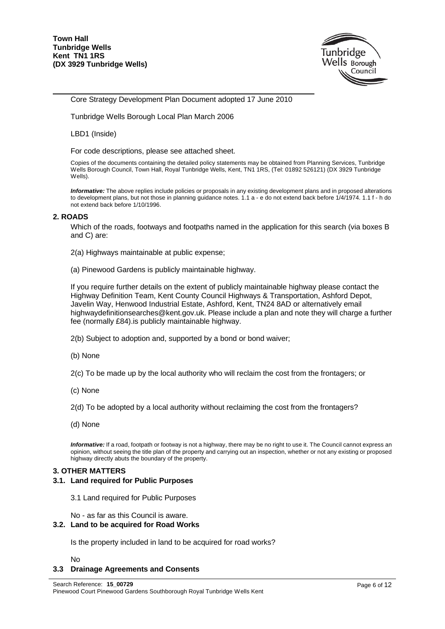

Core Strategy Development Plan Document adopted 17 June 2010

Tunbridge Wells Borough Local Plan March 2006

LBD1 (Inside)

For code descriptions, please see attached sheet.

Copies of the documents containing the detailed policy statements may be obtained from Planning Services, Tunbridge Wells Borough Council, Town Hall, Royal Tunbridge Wells, Kent, TN1 1RS, (Tel: 01892 526121) (DX 3929 Tunbridge Wells).

*Informative:* The above replies include policies or proposals in any existing development plans and in proposed alterations to development plans, but not those in planning guidance notes. 1.1 a - e do not extend back before 1/4/1974. 1.1 f - h do not extend back before 1/10/1996.

#### **2. ROADS**

Which of the roads, footways and footpaths named in the application for this search (via boxes B and C) are:

- 2(a) Highways maintainable at public expense;
- (a) Pinewood Gardens is publicly maintainable highway.

If you require further details on the extent of publicly maintainable highway please contact the Highway Definition Team, Kent County Council Highways & Transportation, Ashford Depot, Javelin Way, Henwood Industrial Estate, Ashford, Kent, TN24 8AD or alternatively email highwaydefinitionsearches@kent.gov.uk. Please include a plan and note they will charge a further fee (normally £84).is publicly maintainable highway.

2(b) Subject to adoption and, supported by a bond or bond waiver;

(b) None

2(c) To be made up by the local authority who will reclaim the cost from the frontagers; or

(c) None

2(d) To be adopted by a local authority without reclaiming the cost from the frontagers?

(d) None

*Informative:* If a road, footpath or footway is not a highway, there may be no right to use it. The Council cannot express an opinion, without seeing the title plan of the property and carrying out an inspection, whether or not any existing or proposed highway directly abuts the boundary of the property.

#### **3. OTHER MATTERS**

#### **3.1. Land required for Public Purposes**

3.1 Land required for Public Purposes

No - as far as this Council is aware.

#### **3.2. Land to be acquired for Road Works**

Is the property included in land to be acquired for road works?

No

#### **3.3 Drainage Agreements and Consents**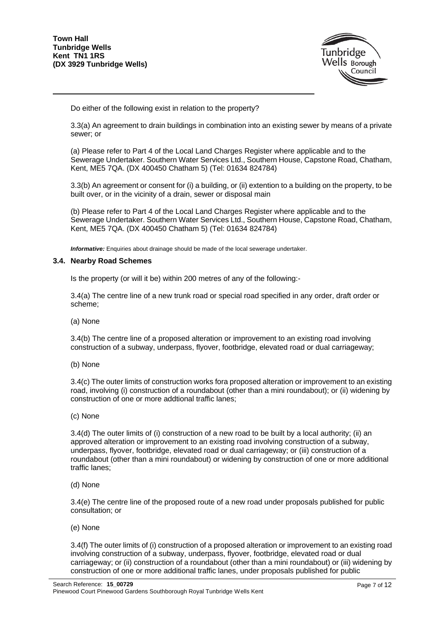

Do either of the following exist in relation to the property?

3.3(a) An agreement to drain buildings in combination into an existing sewer by means of a private sewer; or

(a) Please refer to Part 4 of the Local Land Charges Register where applicable and to the Sewerage Undertaker. Southern Water Services Ltd., Southern House, Capstone Road, Chatham, Kent, ME5 7QA. (DX 400450 Chatham 5) (Tel: 01634 824784)

3.3(b) An agreement or consent for (i) a building, or (ii) extention to a building on the property, to be built over, or in the vicinity of a drain, sewer or disposal main

(b) Please refer to Part 4 of the Local Land Charges Register where applicable and to the Sewerage Undertaker. Southern Water Services Ltd., Southern House, Capstone Road, Chatham, Kent, ME5 7QA. (DX 400450 Chatham 5) (Tel: 01634 824784)

*Informative:* Enquiries about drainage should be made of the local sewerage undertaker.

#### **3.4. Nearby Road Schemes**

Is the property (or will it be) within 200 metres of any of the following:-

3.4(a) The centre line of a new trunk road or special road specified in any order, draft order or scheme;

(a) None

3.4(b) The centre line of a proposed alteration or improvement to an existing road involving construction of a subway, underpass, flyover, footbridge, elevated road or dual carriageway;

(b) None

3.4(c) The outer limits of construction works fora proposed alteration or improvement to an existing road, involving (i) construction of a roundabout (other than a mini roundabout); or (ii) widening by construction of one or more addtional traffic lanes;

(c) None

3.4(d) The outer limits of (i) construction of a new road to be built by a local authority; (ii) an approved alteration or improvement to an existing road involving construction of a subway, underpass, flyover, footbridge, elevated road or dual carriageway; or (iii) construction of a roundabout (other than a mini roundabout) or widening by construction of one or more additional traffic lanes;

(d) None

3.4(e) The centre line of the proposed route of a new road under proposals published for public consultation; or

(e) None

3.4(f) The outer limits of (i) construction of a proposed alteration or improvement to an existing road involving construction of a subway, underpass, flyover, footbridge, elevated road or dual carriageway; or (ii) construction of a roundabout (other than a mini roundabout) or (iii) widening by construction of one or more additional traffic lanes, under proposals published for public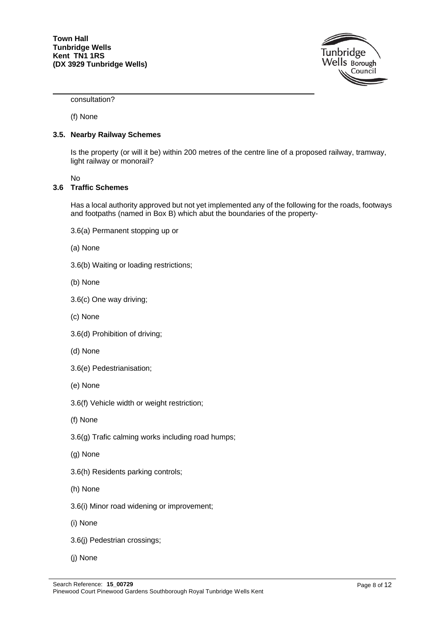

consultation?

(f) None

#### **3.5. Nearby Railway Schemes**

Is the property (or will it be) within 200 metres of the centre line of a proposed railway, tramway, light railway or monorail?

No

#### **3.6 Traffic Schemes**

Has a local authority approved but not yet implemented any of the following for the roads, footways and footpaths (named in Box B) which abut the boundaries of the property-

- 3.6(a) Permanent stopping up or
- (a) None
- 3.6(b) Waiting or loading restrictions;
- (b) None
- 3.6(c) One way driving;
- (c) None
- 3.6(d) Prohibition of driving;
- (d) None
- 3.6(e) Pedestrianisation;
- (e) None
- 3.6(f) Vehicle width or weight restriction;
- (f) None
- 3.6(g) Trafic calming works including road humps;
- (g) None
- 3.6(h) Residents parking controls;
- (h) None
- 3.6(i) Minor road widening or improvement;
- (i) None
- 3.6(j) Pedestrian crossings;
- (j) None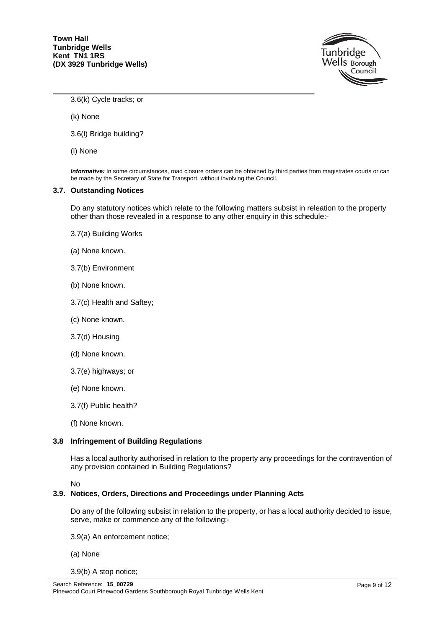

3.6(k) Cycle tracks; or

(k) None

3.6(l) Bridge building?

(l) None

*Informative:* In some circumstances, road closure orders can be obtained by third parties from magistrates courts or can be made by the Secretary of State for Transport, without involving the Council.

#### **3.7. Outstanding Notices**

Do any statutory notices which relate to the following matters subsist in releation to the property other than those revealed in a response to any other enquiry in this schedule:-

- 3.7(a) Building Works
- (a) None known.
- 3.7(b) Environment
- (b) None known.
- 3.7(c) Health and Saftey;
- (c) None known.
- 3.7(d) Housing
- (d) None known.
- 3.7(e) highways; or
- (e) None known.
- 3.7(f) Public health?
- (f) None known.

#### **3.8 Infringement of Building Regulations**

Has a local authority authorised in relation to the property any proceedings for the contravention of any provision contained in Building Regulations?

No

#### **3.9. Notices, Orders, Directions and Proceedings under Planning Acts**

Do any of the following subsist in relation to the property, or has a local authority decided to issue, serve, make or commence any of the following:-

- 3.9(a) An enforcement notice;
- (a) None
- 3.9(b) A stop notice;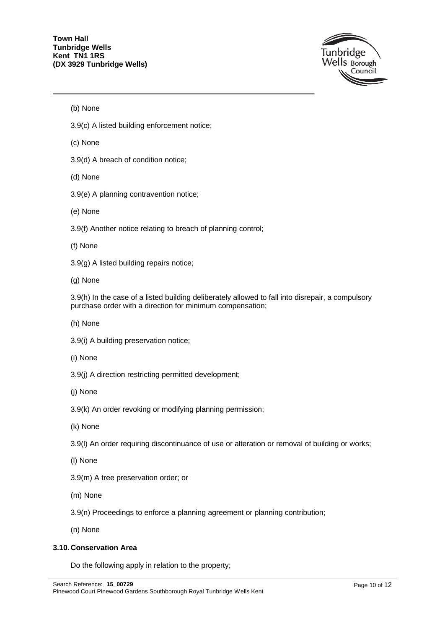

(b) None

- 3.9(c) A listed building enforcement notice;
- (c) None
- 3.9(d) A breach of condition notice;
- (d) None
- 3.9(e) A planning contravention notice;
- (e) None
- 3.9(f) Another notice relating to breach of planning control;
- (f) None
- 3.9(g) A listed building repairs notice;
- (g) None

3.9(h) In the case of a listed building deliberately allowed to fall into disrepair, a compulsory purchase order with a direction for minimum compensation;

- (h) None
- 3.9(i) A building preservation notice;
- (i) None
- 3.9(j) A direction restricting permitted development;
- (j) None
- 3.9(k) An order revoking or modifying planning permission;
- (k) None
- 3.9(l) An order requiring discontinuance of use or alteration or removal of building or works;
- (l) None
- 3.9(m) A tree preservation order; or
- (m) None
- 3.9(n) Proceedings to enforce a planning agreement or planning contribution;
- (n) None

#### **3.10. Conservation Area**

Do the following apply in relation to the property;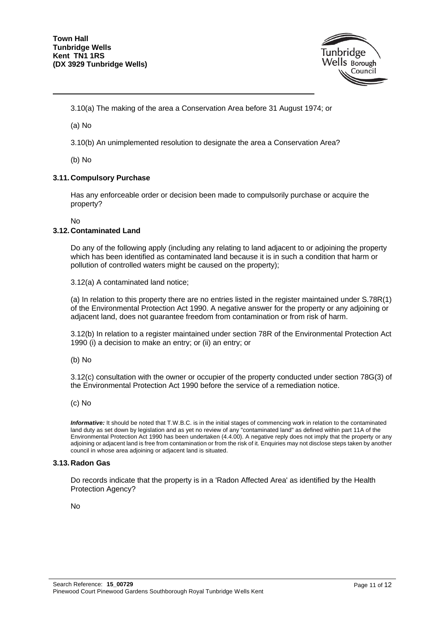

3.10(a) The making of the area a Conservation Area before 31 August 1974; or

(a) No

3.10(b) An unimplemented resolution to designate the area a Conservation Area?

(b) No

#### **3.11. Compulsory Purchase**

Has any enforceable order or decision been made to compulsorily purchase or acquire the property?

No

#### **3.12. Contaminated Land**

Do any of the following apply (including any relating to land adjacent to or adjoining the property which has been identified as contaminated land because it is in such a condition that harm or pollution of controlled waters might be caused on the property);

3.12(a) A contaminated land notice;

(a) In relation to this property there are no entries listed in the register maintained under S.78R(1) of the Environmental Protection Act 1990. A negative answer for the property or any adjoining or adjacent land, does not guarantee freedom from contamination or from risk of harm.

3.12(b) In relation to a register maintained under section 78R of the Environmental Protection Act 1990 (i) a decision to make an entry; or (ii) an entry; or

(b) No

3.12(c) consultation with the owner or occupier of the property conducted under section 78G(3) of the Environmental Protection Act 1990 before the service of a remediation notice.

#### (c) No

*Informative:* It should be noted that T.W.B.C. is in the initial stages of commencing work in relation to the contaminated land duty as set down by legislation and as yet no review of any "contaminated land" as defined within part 11A of the Environmental Protection Act 1990 has been undertaken (4.4.00). A negative reply does not imply that the property or any adjoining or adjacent land is free from contamination or from the risk of it. Enquiries may not disclose steps taken by another council in whose area adjoining or adjacent land is situated.

#### **3.13. Radon Gas**

Do records indicate that the property is in a 'Radon Affected Area' as identified by the Health Protection Agency?

No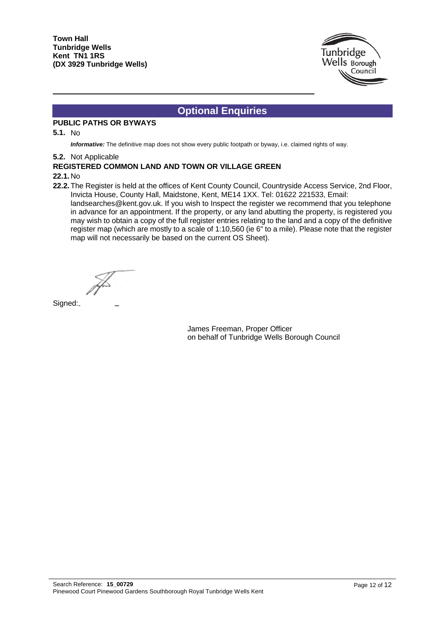

# **Optional Enquiries**

### **PUBLIC PATHS OR BYWAYS**

#### **5.1.** No

*Informative:* The definitive map does not show every public footpath or byway, i.e. claimed rights of way.

#### **5.2.** Not Applicable

#### **REGISTERED COMMON LAND AND TOWN OR VILLAGE GREEN**

#### **22.1.** No

22.2. The Register is held at the offices of Kent County Council, Countryside Access Service, 2nd Floor, Invicta House, County Hall, Maidstone, Kent, ME14 1XX. Tel: 01622 221533, Email: landsearches@kent.gov.uk. If you wish to Inspect the register we recommend that you telephone in advance for an appointment. If the property, or any land abutting the property, is registered you may wish to obtain a copy of the full register entries relating to the land and a copy of the definitive register map (which are mostly to a scale of 1:10,560 (ie 6" to a mile). Please note that the register map will not necessarily be based on the current OS Sheet).

Signed:

James Freeman, Proper Officer on behalf of Tunbridge Wells Borough Council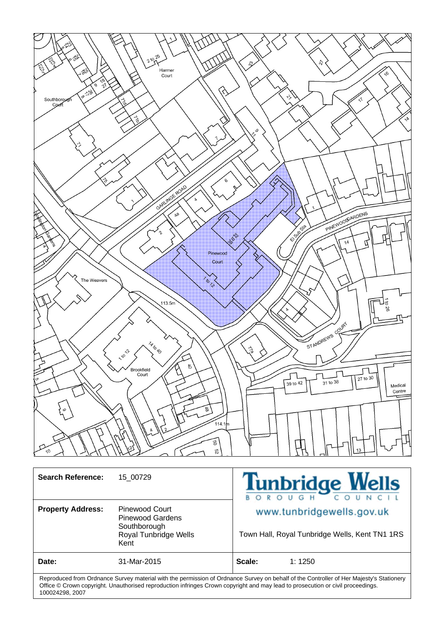

| <b>Search Reference:</b>                                                                                                                 | 15 00729                                                                                   | <b>Tunbridge Wells</b><br>OROUGH COUNCIL                                    |
|------------------------------------------------------------------------------------------------------------------------------------------|--------------------------------------------------------------------------------------------|-----------------------------------------------------------------------------|
| <b>Property Address:</b>                                                                                                                 | <b>Pinewood Court</b><br>Pinewood Gardens<br>Southborough<br>Royal Tunbridge Wells<br>Kent | www.tunbridgewells.gov.uk<br>Town Hall, Royal Tunbridge Wells, Kent TN1 1RS |
| Date:                                                                                                                                    | 31-Mar-2015                                                                                | Scale:<br>1:1250                                                            |
| Dennedicted form Onderser Oimini metrded idde the nemetrden of Onderser Oimini on hebelf of the Organolles of Health Metrdedic Otottenen |                                                                                            |                                                                             |

Reproduced from Ordnance Survey material with the permission of Ordnance Survey on behalf of the Controller of Her Majesty's Stationery Office © Crown copyright. Unauthorised reproduction infringes Crown copyright and may lead to prosecution or civil proceedings. 100024298, 2007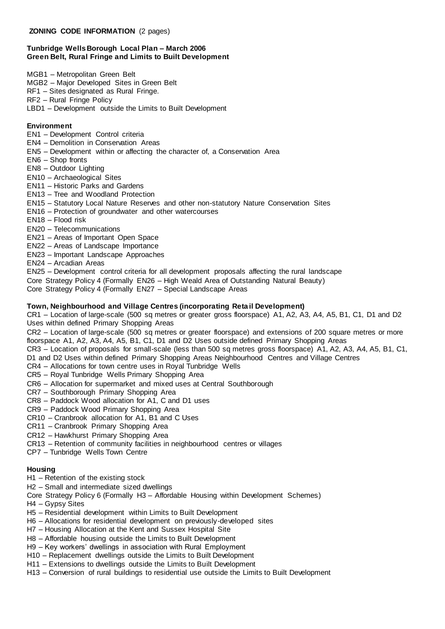#### **Tunbridge Wells Borough Local Plan – March 2006 Green Belt, Rural Fringe and Limits to Built Development**

MGB1 – Metropolitan Green Belt

- MGB2 Major Developed Sites in Green Belt
- RF1 Sites designated as Rural Fringe.
- RF2 Rural Fringe Policy
- LBD1 Development outside the Limits to Built Development

#### **Environment**

- EN1 Development Control criteria
- EN4 Demolition in Conservation Areas
- EN5 Development within or affecting the character of, a Conservation Area
- EN6 Shop fronts
- EN8 Outdoor Lighting
- EN10 Archaeological Sites
- EN11 Historic Parks and Gardens
- EN13 Tree and Woodland Protection
- EN15 Statutory Local Nature Reserves and other non-statutory Nature Conservation Sites
- EN16 Protection of groundwater and other watercourses
- EN18 Flood risk
- EN20 Telecommunications
- EN21 Areas of Important Open Space
- EN22 Areas of Landscape Importance
- EN23 Important Landscape Approaches
- EN24 Arcadian Areas
- EN25 Development control criteria for all development proposals affecting the rural landscape
- Core Strategy Policy 4 (Formally EN26 High Weald Area of Outstanding Natural Beauty)
- Core Strategy Policy 4 (Formally EN27 Special Landscape Areas

#### **Town, Neighbourhood and Village Centres (incorporating Reta il Development)**

CR1 – Location of large-scale (500 sq metres or greater gross floorspace) A1, A2, A3, A4, A5, B1, C1, D1 and D2 Uses within defined Primary Shopping Areas

CR2 – Location of large-scale (500 sq metres or greater floorspace) and extensions of 200 square metres or more floorspace A1, A2, A3, A4, A5, B1, C1, D1 and D2 Uses outside defined Primary Shopping Areas

CR3 – Location of proposals for small-scale (less than 500 sq metres gross floorspace) A1, A2, A3, A4, A5, B1, C1, D1 and D2 Uses within defined Primary Shopping Areas Neighbourhood Centres and Village Centres

- CR4 Allocations for town centre uses in Royal Tunbridge Wells
- CR5 Royal Tunbridge Wells Primary Shopping Area
- CR6 Allocation for supermarket and mixed uses at Central Southborough
- CR7 Southborough Primary Shopping Area
- CR8 Paddock Wood allocation for A1, C and D1 uses
- CR9 Paddock Wood Primary Shopping Area
- CR10 Cranbrook allocation for A1, B1 and C Uses
- CR11 Cranbrook Primary Shopping Area
- CR12 Hawkhurst Primary Shopping Area
- CR13 Retention of community facilities in neighbourhood centres or villages
- CP7 Tunbridge Wells Town Centre

#### **Housing**

- H1 Retention of the existing stock
- H2 Small and intermediate sized dwellings
- Core Strategy Policy 6 (Formally H3 Affordable Housing within Development Schemes)
- H4 Gypsy Sites
- H5 Residential development within Limits to Built Development
- H6 Allocations for residential development on previously-developed sites
- H7 Housing Allocation at the Kent and Sussex Hospital Site
- H8 Affordable housing outside the Limits to Built Development
- H9 Key workers' dwellings in association with Rural Employment
- H10 Replacement dwellings outside the Limits to Built Development
- H11 Extensions to dwellings outside the Limits to Built Development
- H13 Conversion of rural buildings to residential use outside the Limits to Built Development